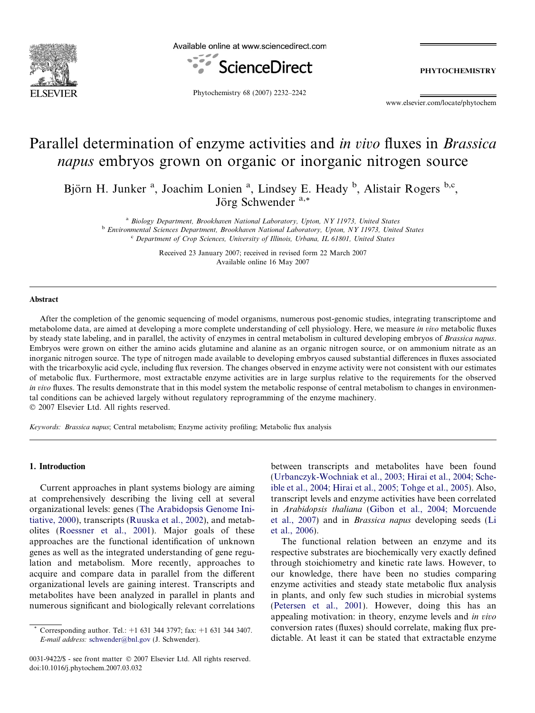

Available online at www.sciencedirect.com



PHYTOCHEMISTRY

Phytochemistry 68 (2007) 2232–2242

www.elsevier.com/locate/phytochem

# Parallel determination of enzyme activities and in vivo fluxes in Brassica napus embryos grown on organic or inorganic nitrogen source

Björn H. Junker<sup>a</sup>, Joachim Lonien<sup>a</sup>, Lindsey E. Heady<sup>b</sup>, Alistair Rogers<sup>b,c</sup>, Jörg Schwender <sup>a,\*</sup>

<sup>a</sup> Biology Department, Brookhaven National Laboratory, Upton, NY 11973, United States <sup>b</sup> Environmental Sciences Department, Brookhaven National Laboratory, Upton, NY 11973, United States <sup>c</sup> Department of Crop Sciences, University of Illinois, Urbana, IL 61801, United States

> Received 23 January 2007; received in revised form 22 March 2007 Available online 16 May 2007

#### Abstract

After the completion of the genomic sequencing of model organisms, numerous post-genomic studies, integrating transcriptome and metabolome data, are aimed at developing a more complete understanding of cell physiology. Here, we measure in vivo metabolic fluxes by steady state labeling, and in parallel, the activity of enzymes in central metabolism in cultured developing embryos of Brassica napus. Embryos were grown on either the amino acids glutamine and alanine as an organic nitrogen source, or on ammonium nitrate as an inorganic nitrogen source. The type of nitrogen made available to developing embryos caused substantial differences in fluxes associated with the tricarboxylic acid cycle, including flux reversion. The changes observed in enzyme activity were not consistent with our estimates of metabolic flux. Furthermore, most extractable enzyme activities are in large surplus relative to the requirements for the observed in vivo fluxes. The results demonstrate that in this model system the metabolic response of central metabolism to changes in environmental conditions can be achieved largely without regulatory reprogramming of the enzyme machinery.  $© 2007 Elsevier Ltd. All rights reserved.$ 

Keywords: Brassica napus; Central metabolism; Enzyme activity profiling; Metabolic flux analysis

### 1. Introduction

Current approaches in plant systems biology are aiming at comprehensively describing the living cell at several organizational levels: genes [\(The Arabidopsis Genome Ini](#page-10-0)[tiative, 2000\)](#page-10-0), transcripts [\(Ruuska et al., 2002](#page-9-0)), and metabolites [\(Roessner et al., 2001](#page-9-0)). Major goals of these approaches are the functional identification of unknown genes as well as the integrated understanding of gene regulation and metabolism. More recently, approaches to acquire and compare data in parallel from the different organizational levels are gaining interest. Transcripts and metabolites have been analyzed in parallel in plants and numerous significant and biologically relevant correlations

0031-9422/\$ - see front matter © 2007 Elsevier Ltd. All rights reserved. doi:10.1016/j.phytochem.2007.03.032

between transcripts and metabolites have been found [\(Urbanczyk-Wochniak et al., 2003; Hirai et al., 2004; Sche](#page-10-0)[ible et al., 2004; Hirai et al., 2005; Tohge et al., 2005\)](#page-10-0). Also, transcript levels and enzyme activities have been correlated in Arabidopsis thaliana ([Gibon et al., 2004; Morcuende](#page-9-0) [et al., 2007](#page-9-0)) and in Brassica napus developing seeds [\(Li](#page-9-0) [et al., 2006](#page-9-0)).

The functional relation between an enzyme and its respective substrates are biochemically very exactly defined through stoichiometry and kinetic rate laws. However, to our knowledge, there have been no studies comparing enzyme activities and steady state metabolic flux analysis in plants, and only few such studies in microbial systems [\(Petersen et al., 2001\)](#page-9-0). However, doing this has an appealing motivation: in theory, enzyme levels and in vivo conversion rates (fluxes) should correlate, making flux predictable. At least it can be stated that extractable enzyme

Corresponding author. Tel.:  $+1$  631 344 3797; fax:  $+1$  631 344 3407. E-mail address: [schwender@bnl.gov](mailto:schwender@bnl.gov) (J. Schwender).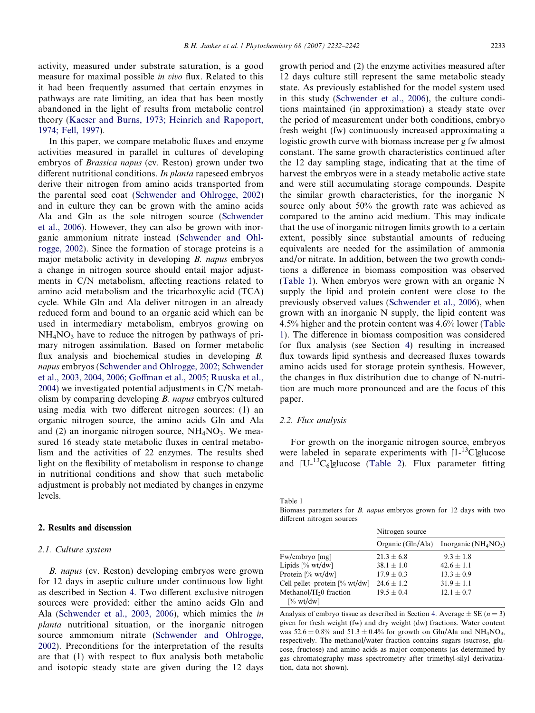activity, measured under substrate saturation, is a good measure for maximal possible in vivo flux. Related to this it had been frequently assumed that certain enzymes in pathways are rate limiting, an idea that has been mostly abandoned in the light of results from metabolic control theory [\(Kacser and Burns, 1973; Heinrich and Rapoport,](#page-9-0) [1974; Fell, 1997\)](#page-9-0).

In this paper, we compare metabolic fluxes and enzyme activities measured in parallel in cultures of developing embryos of Brassica napus (cv. Reston) grown under two different nutritional conditions. In planta rapeseed embryos derive their nitrogen from amino acids transported from the parental seed coat ([Schwender and Ohlrogge, 2002](#page-10-0)) and in culture they can be grown with the amino acids Ala and Gln as the sole nitrogen source [\(Schwender](#page-10-0) [et al., 2006\)](#page-10-0). However, they can also be grown with inorganic ammonium nitrate instead ([Schwender and Ohl](#page-10-0)[rogge, 2002\)](#page-10-0). Since the formation of storage proteins is a major metabolic activity in developing B. napus embryos a change in nitrogen source should entail major adjustments in C/N metabolism, affecting reactions related to amino acid metabolism and the tricarboxylic acid (TCA) cycle. While Gln and Ala deliver nitrogen in an already reduced form and bound to an organic acid which can be used in intermediary metabolism, embryos growing on  $NH<sub>4</sub>NO<sub>3</sub>$  have to reduce the nitrogen by pathways of primary nitrogen assimilation. Based on former metabolic flux analysis and biochemical studies in developing B. napus embryos ([Schwender and Ohlrogge, 2002; Schwender](#page-10-0) [et al., 2003, 2004, 2006; Goffman et al., 2005; Ruuska et al.,](#page-10-0) [2004](#page-10-0)) we investigated potential adjustments in C/N metabolism by comparing developing B. napus embryos cultured using media with two different nitrogen sources: (1) an organic nitrogen source, the amino acids Gln and Ala and (2) an inorganic nitrogen source,  $NH<sub>4</sub>NO<sub>3</sub>$ . We measured 16 steady state metabolic fluxes in central metabolism and the activities of 22 enzymes. The results shed light on the flexibility of metabolism in response to change in nutritional conditions and show that such metabolic adjustment is probably not mediated by changes in enzyme levels.

## 2. Results and discussion

#### 2.1. Culture system

B. napus (cv. Reston) developing embryos were grown for 12 days in aseptic culture under continuous low light as described in Section [4](#page-7-0). Two different exclusive nitrogen sources were provided: either the amino acids Gln and Ala ([Schwender et al., 2003, 2006](#page-10-0)), which mimics the in planta nutritional situation, or the inorganic nitrogen source ammonium nitrate ([Schwender and Ohlrogge,](#page-10-0) [2002](#page-10-0)). Preconditions for the interpretation of the results are that (1) with respect to flux analysis both metabolic and isotopic steady state are given during the 12 days growth period and (2) the enzyme activities measured after 12 days culture still represent the same metabolic steady state. As previously established for the model system used in this study [\(Schwender et al., 2006](#page-10-0)), the culture conditions maintained (in approximation) a steady state over the period of measurement under both conditions, embryo fresh weight (fw) continuously increased approximating a logistic growth curve with biomass increase per g fw almost constant. The same growth characteristics continued after the 12 day sampling stage, indicating that at the time of harvest the embryos were in a steady metabolic active state and were still accumulating storage compounds. Despite the similar growth characteristics, for the inorganic N source only about 50% the growth rate was achieved as compared to the amino acid medium. This may indicate that the use of inorganic nitrogen limits growth to a certain extent, possibly since substantial amounts of reducing equivalents are needed for the assimilation of ammonia and/or nitrate. In addition, between the two growth conditions a difference in biomass composition was observed (Table 1). When embryos were grown with an organic N supply the lipid and protein content were close to the previously observed values [\(Schwender et al., 2006\)](#page-10-0), when grown with an inorganic N supply, the lipid content was 4.5% higher and the protein content was 4.6% lower (Table 1). The difference in biomass composition was considered for flux analysis (see Section [4](#page-7-0)) resulting in increased flux towards lipid synthesis and decreased fluxes towards amino acids used for storage protein synthesis. However, the changes in flux distribution due to change of N-nutrition are much more pronounced and are the focus of this paper.

# 2.2. Flux analysis

For growth on the inorganic nitrogen source, embryos were labeled in separate experiments with  $[1-13C]$ glucose and  $[U^{-13}C_6]$ glucose [\(Table 2](#page-2-0)). Flux parameter fitting

Table 1

Biomass parameters for B. napus embryos grown for 12 days with two different nitrogen sources

|                                    | Nitrogen source |                                                                |  |
|------------------------------------|-----------------|----------------------------------------------------------------|--|
|                                    |                 | Organic (Gln/Ala) Inorganic (NH <sub>4</sub> NO <sub>3</sub> ) |  |
| $Fw/embryo$ [mg]                   | $21.3 \pm 6.8$  | $9.3 \pm 1.8$                                                  |  |
| Lipids $[\% wt/dw]$                | $38.1 \pm 1.0$  | $42.6 + 1.1$                                                   |  |
| Protein [% wt/dw]                  | $17.9 + 0.3$    | $13.3 + 0.9$                                                   |  |
| Cell pellet-protein [% wt/dw]      | $24.6 \pm 1.2$  | $31.9 + 1.1$                                                   |  |
| Methanol/H <sub>2</sub> 0 fraction | $19.5 \pm 0.4$  | $12.1 \pm 0.7$                                                 |  |
| $\sqrt{6}$ wt/dw]                  |                 |                                                                |  |

Analysis of embryo tissue as described in Section [4.](#page-7-0) Average  $\pm$  SE (*n* = 3) given for fresh weight (fw) and dry weight (dw) fractions. Water content was  $52.6 \pm 0.8\%$  and  $51.3 \pm 0.4\%$  for growth on Gln/Ala and NH<sub>4</sub>NO<sub>3</sub>, respectively. The methanol/water fraction contains sugars (sucrose, glucose, fructose) and amino acids as major components (as determined by gas chromatography–mass spectrometry after trimethyl-silyl derivatization, data not shown).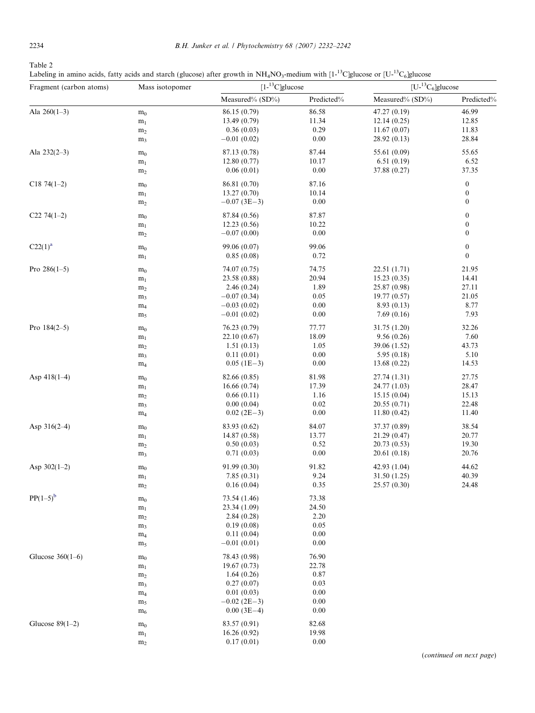<span id="page-2-0"></span>

| ۰,<br>۰,<br>×<br>٠ |
|--------------------|
|--------------------|

Labeling in amino acids, fatty acids and starch (glucose) after growth in  $NH_4NO_3$ -medium with  $[1^{-13}C]$ glucose or  $[U^{-13}C_6]$ glucose

| Fragment (carbon atoms)    | Mass isotopomer |                    | $[1 - {}^{13}C]$ glucose |                 | $[U^{-13}C_6]$ glucose |  |
|----------------------------|-----------------|--------------------|--------------------------|-----------------|------------------------|--|
|                            |                 | Measured% (SD%)    | Predicted%               | Measured% (SD%) | Predicted%             |  |
| Ala $260(1-3)$             | m <sub>0</sub>  | 86.15 (0.79)       | 86.58                    | 47.27 (0.19)    | 46.99                  |  |
|                            | m <sub>1</sub>  | 13.49(0.79)        | 11.34                    | 12.14(0.25)     | 12.85                  |  |
|                            | m <sub>2</sub>  | 0.36(0.03)         | 0.29                     | 11.67(0.07)     | 11.83                  |  |
|                            | m <sub>3</sub>  | $-0.01(0.02)$      | 0.00                     | 28.92 (0.13)    | 28.84                  |  |
| Ala $232(2-3)$             | m <sub>0</sub>  | 87.13 (0.78)       | 87.44                    | 55.61 (0.09)    | 55.65                  |  |
|                            | m <sub>1</sub>  | 12.80(0.77)        | 10.17                    | 6.51(0.19)      | 6.52                   |  |
|                            | $\rm m_2$       | 0.06(0.01)         | 0.00                     | 37.88 (0.27)    | 37.35                  |  |
| $C1874(1-2)$               | m <sub>0</sub>  | 86.81 (0.70)       | 87.16                    |                 | $\boldsymbol{0}$       |  |
|                            | m <sub>1</sub>  | 13.27(0.70)        | 10.14                    |                 | $\boldsymbol{0}$       |  |
|                            | m <sub>2</sub>  | $-0.07$ (3E-3)     | 0.00                     |                 | $\boldsymbol{0}$       |  |
| C <sub>22</sub> 74 $(1-2)$ | m <sub>0</sub>  | 87.84 (0.56)       | 87.87                    |                 | $\boldsymbol{0}$       |  |
|                            | m <sub>1</sub>  | 12.23(0.56)        | 10.22                    |                 | $\boldsymbol{0}$       |  |
|                            | m <sub>2</sub>  | $-0.07(0.00)$      | 0.00                     |                 | $\boldsymbol{0}$       |  |
| $C22(1)^{a}$               | m <sub>0</sub>  | 99.06 (0.07)       | 99.06                    |                 | $\boldsymbol{0}$       |  |
|                            | m <sub>1</sub>  | 0.85(0.08)         | 0.72                     |                 | $\boldsymbol{0}$       |  |
| Pro $286(1-5)$             | m <sub>0</sub>  | 74.07 (0.75)       | 74.75                    | 22.51 (1.71)    | 21.95                  |  |
|                            | m <sub>1</sub>  | 23.58 (0.88)       | 20.94                    | 15.23(0.35)     | 14.41                  |  |
|                            | m <sub>2</sub>  | 2.46(0.24)         | 1.89                     | 25.87 (0.98)    | 27.11                  |  |
|                            | m <sub>3</sub>  | $-0.07(0.34)$      | 0.05                     | 19.77 (0.57)    | 21.05                  |  |
|                            | m <sub>4</sub>  | $-0.03(0.02)$      | 0.00                     | 8.93(0.13)      | 8.77                   |  |
|                            | m <sub>5</sub>  | $-0.01(0.02)$      | 0.00                     | 7.69(0.16)      | 7.93                   |  |
| Pro $184(2-5)$             | m <sub>0</sub>  | 76.23 (0.79)       | 77.77                    | 31.75 (1.20)    | 32.26                  |  |
|                            | m <sub>1</sub>  | 22.10 (0.67)       | 18.09                    | 9.56(0.26)      | 7.60                   |  |
|                            | m <sub>2</sub>  | 1.51(0.13)         | 1.05                     | 39.06 (1.52)    | 43.73                  |  |
|                            | m <sub>3</sub>  | 0.11(0.01)         | 0.00                     | 5.95(0.18)      | 5.10                   |  |
|                            | m <sub>4</sub>  | $0.05$ (1E-3)      | 0.00                     | 13.68 (0.22)    | 14.53                  |  |
| Asp $418(1-4)$             | m <sub>0</sub>  | 82.66 (0.85)       | 81.98                    | 27.74 (1.31)    | 27.75                  |  |
|                            | m <sub>1</sub>  | 16.66(0.74)        | 17.39                    | 24.77 (1.03)    | 28.47                  |  |
|                            | m <sub>2</sub>  | 0.66(0.11)         | 1.16                     | 15.15(0.04)     | 15.13                  |  |
|                            | m <sub>3</sub>  | 0.00(0.04)         | 0.02                     | 20.55(0.71)     | 22.48                  |  |
|                            | m <sub>4</sub>  | $0.02$ (2E-3)      | 0.00                     | 11.80(0.42)     | 11.40                  |  |
| Asp $316(2-4)$             | m <sub>0</sub>  | 83.93 (0.62)       | 84.07                    | 37.37 (0.89)    | 38.54                  |  |
|                            | m <sub>1</sub>  | 14.87 (0.58)       | 13.77                    | 21.29 (0.47)    | 20.77                  |  |
|                            | m <sub>2</sub>  | 0.50(0.03)         | 0.52                     | 20.73 (0.53)    | 19.30                  |  |
|                            | m <sub>3</sub>  | 0.71(0.03)         | 0.00                     | 20.61 (0.18)    | 20.76                  |  |
| Asp $302(1-2)$             | m <sub>0</sub>  | 91.99 (0.30)       | 91.82                    | 42.93 (1.04)    | 44.62                  |  |
|                            | m <sub>1</sub>  | 7.85(0.31)         | 9.24                     | 31.50 (1.25)    | 40.39                  |  |
|                            | m <sub>2</sub>  | 0.16(0.04)         | 0.35                     | 25.57 (0.30)    | 24.48                  |  |
| $PP(1-5)^{b}$              | m <sub>0</sub>  | 73.54 (1.46)       | 73.38                    |                 |                        |  |
|                            | m <sub>1</sub>  | 23.34 (1.09)       | 24.50                    |                 |                        |  |
|                            | m <sub>2</sub>  | 2.84(0.28)         | 2.20                     |                 |                        |  |
|                            | m <sub>3</sub>  | 0.19(0.08)         | 0.05                     |                 |                        |  |
|                            | m <sub>4</sub>  | 0.11(0.04)         | 0.00                     |                 |                        |  |
|                            | m <sub>5</sub>  | $-0.01(0.01)$      | 0.00                     |                 |                        |  |
| Glucose $360(1-6)$         | m <sub>0</sub>  | 78.43 (0.98)       | 76.90                    |                 |                        |  |
|                            | m <sub>1</sub>  | 19.67(0.73)        | 22.78                    |                 |                        |  |
|                            | m <sub>2</sub>  | 1.64(0.26)         | 0.87                     |                 |                        |  |
|                            | m <sub>3</sub>  | 0.27(0.07)         | 0.03                     |                 |                        |  |
|                            | m <sub>4</sub>  | 0.01(0.03)         | 0.00                     |                 |                        |  |
|                            | m <sub>5</sub>  | $-0.02$ (2E $-3$ ) | 0.00                     |                 |                        |  |
|                            | $m_6$           | $0.00(3E-4)$       | 0.00                     |                 |                        |  |
| Glucose $89(1-2)$          | m <sub>0</sub>  | 83.57 (0.91)       | 82.68                    |                 |                        |  |
|                            | m <sub>1</sub>  | 16.26(0.92)        | 19.98                    |                 |                        |  |
|                            | m <sub>2</sub>  | 0.17(0.01)         | 0.00                     |                 |                        |  |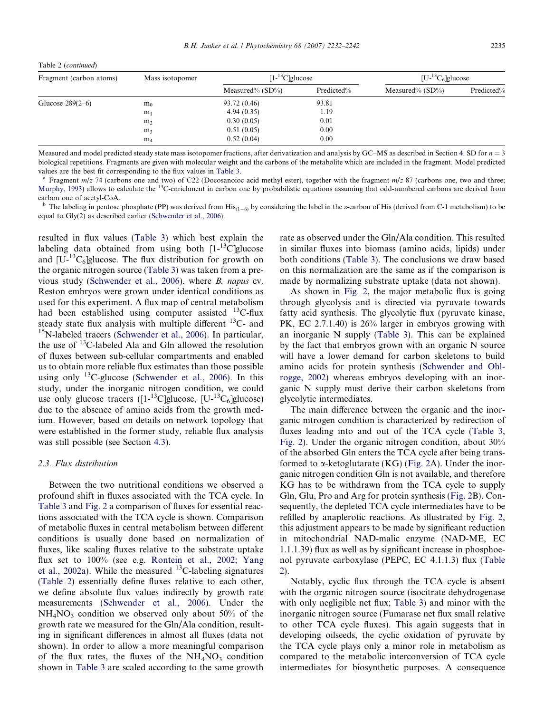<span id="page-3-0"></span>

|  | Table 2 (continued) |
|--|---------------------|
|  |                     |

| Fragment (carbon atoms) | Mass isotopomer | $[1 - {}^{13}C]$ glucose |            | $[U^{-13}C_6]$ glucose |            |
|-------------------------|-----------------|--------------------------|------------|------------------------|------------|
|                         |                 | Measured% $(SD\%)$       | Predicted% | Measured% $(SD\%)$     | Predicted% |
| Glucose $289(2-6)$      | m <sub>0</sub>  | 93.72 (0.46)             | 93.81      |                        |            |
|                         | m <sub>1</sub>  | 4.94(0.35)               | 1.19       |                        |            |
|                         | m <sub>2</sub>  | 0.30(0.05)               | 0.01       |                        |            |
|                         | m <sub>3</sub>  | 0.51(0.05)               | 0.00       |                        |            |
|                         | m <sub>4</sub>  | 0.52(0.04)               | 0.00       |                        |            |

Measured and model predicted steady state mass isotopomer fractions, after derivatization and analysis by GC–MS as described in Section [4.](#page-7-0) SD for  $n = 3$ biological repetitions. Fragments are given with molecular weight and the carbons of the metabolite which are included in the fragment. Model predicted values are the best fit corresponding to the flux values in [Table 3.](#page-4-0)

Fragment  $m/z$  74 (carbons one and two) of C22 (Docosanoioc acid methyl ester), together with the fragment  $m/z$  87 (carbons one, two and three; [Murphy, 1993](#page-9-0)) allows to calculate the <sup>13</sup>C-enrichment in carbon one by probabilistic equations assuming that odd-numbered carbons are derived from carbon one of acetyl-CoA.

<sup>b</sup> The labeling in pentose phosphate (PP) was derived from His<sub>(1-6)</sub> by considering the label in the  $\varepsilon$ -carbon of His (derived from C-1 metabolism) to be equal to Gly(2) as described earlier ([Schwender et al., 2006\)](#page-10-0).

resulted in flux values ([Table 3](#page-4-0)) which best explain the labeling data obtained from using both  $[1-13C]$ glucose and  $[U^{-13}C_6]$ glucose. The flux distribution for growth on the organic nitrogen source ([Table 3](#page-4-0)) was taken from a previous study [\(Schwender et al., 2006\)](#page-10-0), where B. napus cv. Reston embryos were grown under identical conditions as used for this experiment. A flux map of central metabolism had been established using computer assisted <sup>13</sup>C-flux steady state flux analysis with multiple different <sup>13</sup>C- and <sup>15</sup>N-labeled tracers [\(Schwender et al., 2006](#page-10-0)). In particular, the use of  $^{13}$ C-labeled Ala and Gln allowed the resolution of fluxes between sub-cellular compartments and enabled us to obtain more reliable flux estimates than those possible using only <sup>13</sup>C-glucose [\(Schwender et al., 2006\)](#page-10-0). In this study, under the inorganic nitrogen condition, we could use only glucose tracers  $([1^{-13}C]$ glucose,  $[U^{-13}C_6]$ glucose) due to the absence of amino acids from the growth medium. However, based on details on network topology that were established in the former study, reliable flux analysis was still possible (see Section [4.3](#page-8-0)).

## 2.3. Flux distribution

Between the two nutritional conditions we observed a profound shift in fluxes associated with the TCA cycle. In [Table 3](#page-4-0) and [Fig. 2](#page-6-0) a comparison of fluxes for essential reactions associated with the TCA cycle is shown. Comparison of metabolic fluxes in central metabolism between different conditions is usually done based on normalization of fluxes, like scaling fluxes relative to the substrate uptake flux set to 100% (see e.g. [Rontein et al., 2002; Yang](#page-9-0) [et al., 2002a\)](#page-9-0). While the measured  $^{13}$ C-labeling signatures ([Table 2\)](#page-2-0) essentially define fluxes relative to each other, we define absolute flux values indirectly by growth rate measurements [\(Schwender et al., 2006\)](#page-10-0). Under the  $NH<sub>4</sub>NO<sub>3</sub>$  condition we observed only about 50% of the growth rate we measured for the Gln/Ala condition, resulting in significant differences in almost all fluxes (data not shown). In order to allow a more meaningful comparison of the flux rates, the fluxes of the  $NH<sub>4</sub>NO<sub>3</sub>$  condition shown in [Table 3](#page-4-0) are scaled according to the same growth rate as observed under the Gln/Ala condition. This resulted in similar fluxes into biomass (amino acids, lipids) under both conditions [\(Table 3\)](#page-4-0). The conclusions we draw based on this normalization are the same as if the comparison is made by normalizing substrate uptake (data not shown).

As shown in [Fig. 2](#page-6-0), the major metabolic flux is going through glycolysis and is directed via pyruvate towards fatty acid synthesis. The glycolytic flux (pyruvate kinase, PK, EC 2.7.1.40) is 26% larger in embryos growing with an inorganic N supply [\(Table 3\)](#page-4-0). This can be explained by the fact that embryos grown with an organic N source will have a lower demand for carbon skeletons to build amino acids for protein synthesis ([Schwender and Ohl](#page-10-0)[rogge, 2002\)](#page-10-0) whereas embryos developing with an inorganic N supply must derive their carbon skeletons from glycolytic intermediates.

The main difference between the organic and the inorganic nitrogen condition is characterized by redirection of fluxes leading into and out of the TCA cycle ([Table 3,](#page-4-0) [Fig. 2](#page-6-0)). Under the organic nitrogen condition, about 30% of the absorbed Gln enters the TCA cycle after being transformed to  $\alpha$ -ketoglutarate (KG) [\(Fig. 2](#page-6-0)A). Under the inorganic nitrogen condition Gln is not available, and therefore KG has to be withdrawn from the TCA cycle to supply Gln, Glu, Pro and Arg for protein synthesis ([Fig. 2B](#page-6-0)). Consequently, the depleted TCA cycle intermediates have to be refilled by anaplerotic reactions. As illustrated by [Fig. 2,](#page-6-0) this adjustment appears to be made by significant reduction in mitochondrial NAD-malic enzyme (NAD-ME, EC 1.1.1.39) flux as well as by significant increase in phosphoenol pyruvate carboxylase (PEPC, EC 4.1.1.3) flux [\(Table](#page-2-0) [2\)](#page-2-0).

Notably, cyclic flux through the TCA cycle is absent with the organic nitrogen source (isocitrate dehydrogenase with only negligible net flux; [Table 3\)](#page-4-0) and minor with the inorganic nitrogen source (Fumarase net flux small relative to other TCA cycle fluxes). This again suggests that in developing oilseeds, the cyclic oxidation of pyruvate by the TCA cycle plays only a minor role in metabolism as compared to the metabolic interconversion of TCA cycle intermediates for biosynthetic purposes. A consequence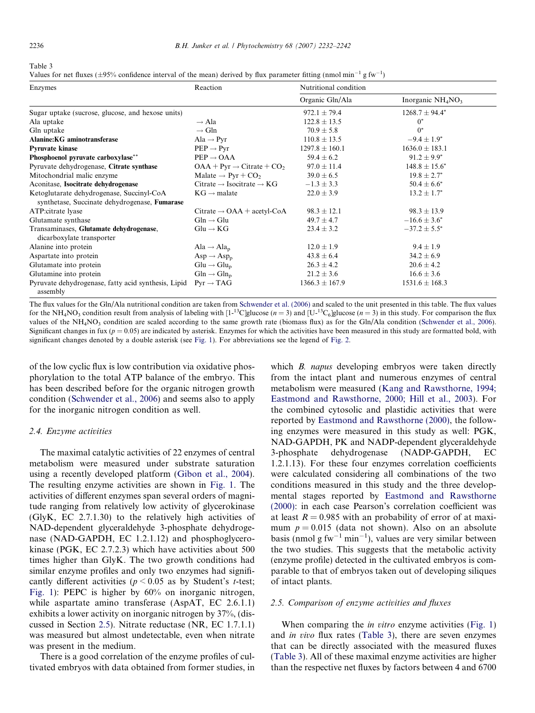<span id="page-4-0"></span>

| а г<br>чι. |
|------------|
|------------|

Values for net fluxes ( $\pm$ 95% confidence interval of the mean) derived by flux parameter fitting (nmol min<sup>-1</sup> g fw<sup>-1</sup>)

| Enzymes                                                              | Reaction                                          | Nutritional condition |                     |  |
|----------------------------------------------------------------------|---------------------------------------------------|-----------------------|---------------------|--|
|                                                                      |                                                   | Organic Gln/Ala       | Inorganic $NH4NO3$  |  |
| Sugar uptake (sucrose, glucose, and hexose units)                    |                                                   | $972.1 \pm 79.4$      | $1268.7 \pm 94.4^*$ |  |
| Ala uptake                                                           | $\rightarrow$ Ala                                 | $122.8 \pm 13.5$      | $0^*$               |  |
| Gln uptake                                                           | $\rightarrow$ Gln                                 | $70.9 \pm 5.8$        | $0^*$               |  |
| Alanine: KG aminotransferase                                         | $\text{Ala} \rightarrow \text{Pyr}$               | $110.8 \pm 13.5$      | $-9.4 \pm 1.9^*$    |  |
| <b>Pyruvate kinase</b>                                               | $PEP \rightarrow Pyr$                             | $1297.8 \pm 160.1$    | $1636.0 \pm 183.1$  |  |
| Phosphoenol pyruvate carboxylase**                                   | $PEP \rightarrow OAA$                             | $59.4 \pm 6.2$        | $91.2 \pm 9.9^*$    |  |
| Pyruvate dehydrogenase, Citrate synthase                             | $OAA + Pyr \rightarrow$ Citrate + CO <sub>2</sub> | $97.0 \pm 11.4$       | $148.8 \pm 15.6^*$  |  |
| Mitochondrial malic enzyme                                           | Malate $\rightarrow$ Pyr + CO <sub>2</sub>        | $39.0 \pm 6.5$        | $19.8 \pm 2.7^*$    |  |
| Aconitase, Isocitrate dehydrogenase                                  | Citrate $\rightarrow$ Isocitrate $\rightarrow$ KG | $-1.3 \pm 3.3$        | $50.4 \pm 6.6^*$    |  |
| Ketoglutarate dehydrogenase, Succinyl-CoA                            | $KG \rightarrow malate$                           | $22.0 \pm 3.9$        | $13.2 \pm 1.7^*$    |  |
| synthetase, Succinate dehydrogenase, Fumarase                        |                                                   |                       |                     |  |
| ATP: citrate lyase                                                   | Citrate $\rightarrow$ OAA + acetyl-CoA            | $98.3 \pm 12.1$       | $98.3 \pm 13.9$     |  |
| Glutamate synthase                                                   | $G\ln \rightarrow G\ln$                           | $49.7 \pm 4.7$        | $-16.6 \pm 3.6^*$   |  |
| Transaminases, Glutamate dehydrogenase,<br>dicarboxylate transporter | $Glu \rightarrow KG$                              | $23.4 \pm 3.2$        | $-37.2 \pm 5.5^*$   |  |
| Alanine into protein                                                 | Ala $\rightarrow$ Ala <sub>n</sub>                | $12.0 \pm 1.9$        | $9.4 \pm 1.9$       |  |
| Aspartate into protein                                               | $Asp \rightarrow Asp_n$                           | $43.8 \pm 6.4$        | $34.2 \pm 6.9$      |  |
| Glutamate into protein                                               | $Glu \rightarrow Glu_p$                           | $26.3 \pm 4.2$        | $20.6 \pm 4.2$      |  |
| Glutamine into protein                                               | $G\ln \rightarrow G\ln_n$                         | $21.2 \pm 3.6$        | $16.6 \pm 3.6$      |  |
| Pyruvate dehydrogenase, fatty acid synthesis, Lipid<br>assembly      | $Pyr \rightarrow TAG$                             | $1366.3 \pm 167.9$    | $1531.6 \pm 168.3$  |  |

The flux values for the Gln/Ala nutritional condition are taken from [Schwender et al. \(2006\)](#page-10-0) and scaled to the unit presented in this table. The flux values for the NH<sub>4</sub>NO<sub>3</sub> condition result from analysis of labeling with [1-<sup>13</sup>C]glucose (n = 3) and [U-<sup>13</sup>C<sub>6</sub>]glucose (n = 3) in this study. For comparison the flux values of the NH<sub>4</sub>NO<sub>3</sub> condition are scaled according to the same growth rate (biomass flux) as for the Gln/Ala condition ([Schwender et al., 2006\)](#page-10-0). Significant changes in fux ( $p = 0.05$ ) are indicated by asterisk. Enzymes for which the activities have been measured in this study are formatted bold, with significant changes denoted by a double asterisk (see [Fig. 1\)](#page-5-0). For abbreviations see the legend of [Fig. 2](#page-6-0).

of the low cyclic flux is low contribution via oxidative phosphorylation to the total ATP balance of the embryo. This has been described before for the organic nitrogen growth condition ([Schwender et al., 2006](#page-10-0)) and seems also to apply for the inorganic nitrogen condition as well.

#### 2.4. Enzyme activities

The maximal catalytic activities of 22 enzymes of central metabolism were measured under substrate saturation using a recently developed platform [\(Gibon et al., 2004\)](#page-9-0). The resulting enzyme activities are shown in [Fig. 1](#page-5-0). The activities of different enzymes span several orders of magnitude ranging from relatively low activity of glycerokinase (GlyK, EC 2.7.1.30) to the relatively high activities of NAD-dependent glyceraldehyde 3-phosphate dehydrogenase (NAD-GAPDH, EC 1.2.1.12) and phosphoglycerokinase (PGK, EC 2.7.2.3) which have activities about 500 times higher than GlyK. The two growth conditions had similar enzyme profiles and only two enzymes had significantly different activities ( $p \le 0.05$  as by Student's t-test; [Fig. 1\)](#page-5-0): PEPC is higher by 60% on inorganic nitrogen, while aspartate amino transferase (AspAT, EC 2.6.1.1) exhibits a lower activity on inorganic nitrogen by 37%, (discussed in Section 2.5). Nitrate reductase (NR, EC 1.7.1.1) was measured but almost undetectable, even when nitrate was present in the medium.

There is a good correlation of the enzyme profiles of cultivated embryos with data obtained from former studies, in which *B. napus* developing embryos were taken directly from the intact plant and numerous enzymes of central metabolism were measured [\(Kang and Rawsthorne, 1994;](#page-9-0) [Eastmond and Rawsthorne, 2000; Hill et al., 2003](#page-9-0)). For the combined cytosolic and plastidic activities that were reported by [Eastmond and Rawsthorne \(2000\),](#page-9-0) the following enzymes were measured in this study as well: PGK, NAD-GAPDH, PK and NADP-dependent glyceraldehyde 3-phosphate dehydrogenase (NADP-GAPDH, EC 1.2.1.13). For these four enzymes correlation coefficients were calculated considering all combinations of the two conditions measured in this study and the three developmental stages reported by [Eastmond and Rawsthorne](#page-9-0) [\(2000\)](#page-9-0): in each case Pearson's correlation coefficient was at least  $R = 0.985$  with an probability of error of at maximum  $p = 0.015$  (data not shown). Also on an absolute basis (nmol g fw<sup>-1</sup> min<sup>-1</sup>), values are very similar between the two studies. This suggests that the metabolic activity (enzyme profile) detected in the cultivated embryos is comparable to that of embryos taken out of developing siliques of intact plants.

## 2.5. Comparison of enzyme activities and fluxes

When comparing the *in vitro* enzyme activities ([Fig. 1](#page-5-0)) and in vivo flux rates (Table 3), there are seven enzymes that can be directly associated with the measured fluxes (Table 3). All of these maximal enzyme activities are higher than the respective net fluxes by factors between 4 and 6700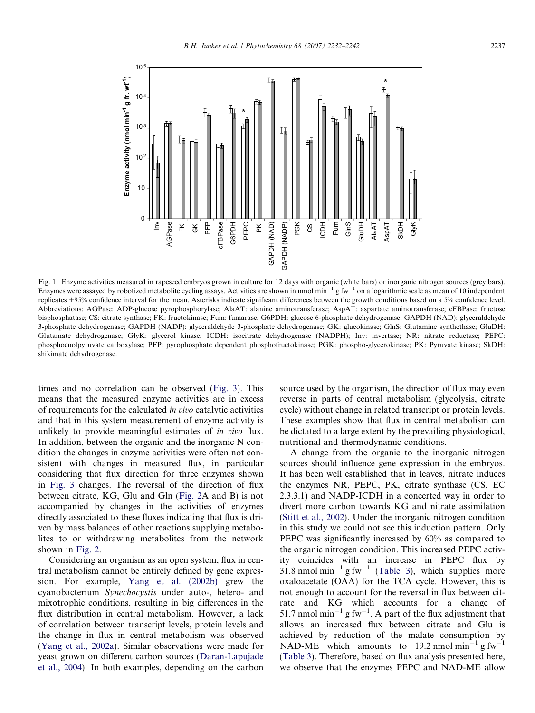<span id="page-5-0"></span>

Fig. 1. Enzyme activities measured in rapeseed embryos grown in culture for 12 days with organic (white bars) or inorganic nitrogen sources (grey bars). Enzymes were assayed by robotized metabolite cycling assays. Activities are shown in nmol min<sup>-1</sup> g fw<sup>-1</sup> on a logarithmic scale as mean of 10 independent replicates ±95% confidence interval for the mean. Asterisks indicate significant differences between the growth conditions based on a 5% confidence level. Abbreviations: AGPase: ADP-glucose pyrophosphorylase; AlaAT: alanine aminotransferase; AspAT: aspartate aminotransferase; cFBPase: fructose bisphosphatase; CS: citrate synthase; FK: fructokinase; Fum: fumarase; G6PDH: glucose 6-phosphate dehydrogenase; GAPDH (NAD): glyceraldehyde 3-phosphate dehydrogenase; GAPDH (NADP): glyceraldehyde 3-phosphate dehydrogenase; GK: glucokinase; GlnS: Glutamine synthethase; GluDH: Glutamate dehydrogenase; GlyK: glycerol kinase; ICDH: isocitrate dehydrogenase (NADPH); Inv: invertase; NR: nitrate reductase; PEPC: phosphoenolpyruvate carboxylase; PFP: pyrophosphate dependent phosphofructokinase; PGK: phospho-glycerokinase; PK: Pyruvate kinase; SkDH: shikimate dehydrogenase.

times and no correlation can be observed [\(Fig. 3](#page-6-0)). This means that the measured enzyme activities are in excess of requirements for the calculated in vivo catalytic activities and that in this system measurement of enzyme activity is unlikely to provide meaningful estimates of in vivo flux. In addition, between the organic and the inorganic N condition the changes in enzyme activities were often not consistent with changes in measured flux, in particular considering that flux direction for three enzymes shown in [Fig. 3](#page-6-0) changes. The reversal of the direction of flux between citrate, KG, Glu and Gln [\(Fig. 2A](#page-6-0) and B) is not accompanied by changes in the activities of enzymes directly associated to these fluxes indicating that flux is driven by mass balances of other reactions supplying metabolites to or withdrawing metabolites from the network shown in [Fig. 2](#page-6-0).

Considering an organism as an open system, flux in central metabolism cannot be entirely defined by gene expression. For example, [Yang et al. \(2002b\)](#page-10-0) grew the cyanobacterium Synechocystis under auto-, hetero- and mixotrophic conditions, resulting in big differences in the flux distribution in central metabolism. However, a lack of correlation between transcript levels, protein levels and the change in flux in central metabolism was observed ([Yang et al., 2002a\)](#page-10-0). Similar observations were made for yeast grown on different carbon sources [\(Daran-Lapujade](#page-9-0) [et al., 2004](#page-9-0)). In both examples, depending on the carbon source used by the organism, the direction of flux may even reverse in parts of central metabolism (glycolysis, citrate cycle) without change in related transcript or protein levels. These examples show that flux in central metabolism can be dictated to a large extent by the prevailing physiological, nutritional and thermodynamic conditions.

A change from the organic to the inorganic nitrogen sources should influence gene expression in the embryos. It has been well established that in leaves, nitrate induces the enzymes NR, PEPC, PK, citrate synthase (CS, EC 2.3.3.1) and NADP-ICDH in a concerted way in order to divert more carbon towards KG and nitrate assimilation ([Stitt et al., 2002](#page-10-0)). Under the inorganic nitrogen condition in this study we could not see this induction pattern. Only PEPC was significantly increased by 60% as compared to the organic nitrogen condition. This increased PEPC activity coincides with an increase in PEPC flux by 31.8 nmol min<sup>-1</sup> g fw<sup>-1</sup> ([Table 3\)](#page-4-0), which supplies more oxaloacetate (OAA) for the TCA cycle. However, this is not enough to account for the reversal in flux between citrate and KG which accounts for a change of 51.7 nmol min<sup>-1</sup> g fw<sup>-1</sup>. A part of the flux adjustment that allows an increased flux between citrate and Glu is achieved by reduction of the malate consumption by NAD-ME which amounts to 19.2 nmol min<sup>-1</sup> g fw<sup>-1</sup> ([Table 3\)](#page-4-0). Therefore, based on flux analysis presented here, we observe that the enzymes PEPC and NAD-ME allow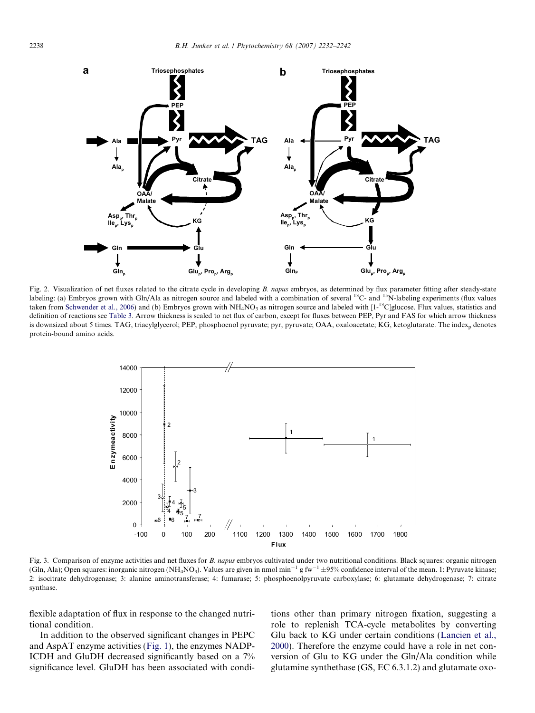<span id="page-6-0"></span>

Fig. 2. Visualization of net fluxes related to the citrate cycle in developing B. napus embryos, as determined by flux parameter fitting after steady-state labeling: (a) Embryos grown with Gln/Ala as nitrogen source and labeled with a combination of several <sup>13</sup>C- and <sup>15</sup>N-labeling experiments (flux values taken from [Schwender et al., 2006](#page-10-0)) and (b) Embryos grown with  $NH_4NO_3$  as nitrogen source and labeled with  $[1<sup>13</sup>C]$ glucose. Flux values, statistics and definition of reactions see [Table 3.](#page-4-0) Arrow thickness is scaled to net flux of carbon, except for fluxes between PEP, Pyr and FAS for which arrow thickness is downsized about 5 times. TAG, triacylglycerol; PEP, phosphoenol pyruvate; pyr, pyruvate; OAA, oxaloacetate; KG, ketoglutarate. The index<sub>p</sub> denotes protein-bound amino acids.



Fig. 3. Comparison of enzyme activities and net fluxes for B. napus embryos cultivated under two nutritional conditions. Black squares: organic nitrogen (Gln, Ala); Open squares: inorganic nitrogen (NH<sub>4</sub>NO<sub>3</sub>). Values are given in nmol min<sup>-1</sup> g fw<sup>-1</sup> ±95% confidence interval of the mean. 1: Pyruvate kinase; 2: isocitrate dehydrogenase; 3: alanine aminotransferase; 4: fumarase; 5: phosphoenolpyruvate carboxylase; 6: glutamate dehydrogenase; 7: citrate synthase.

flexible adaptation of flux in response to the changed nutritional condition.

In addition to the observed significant changes in PEPC and AspAT enzyme activities ([Fig. 1\)](#page-5-0), the enzymes NADP-ICDH and GluDH decreased significantly based on a 7% significance level. GluDH has been associated with conditions other than primary nitrogen fixation, suggesting a role to replenish TCA-cycle metabolites by converting Glu back to KG under certain conditions ([Lancien et al.,](#page-9-0) [2000\)](#page-9-0). Therefore the enzyme could have a role in net conversion of Glu to KG under the Gln/Ala condition while glutamine synthethase (GS, EC 6.3.1.2) and glutamate oxo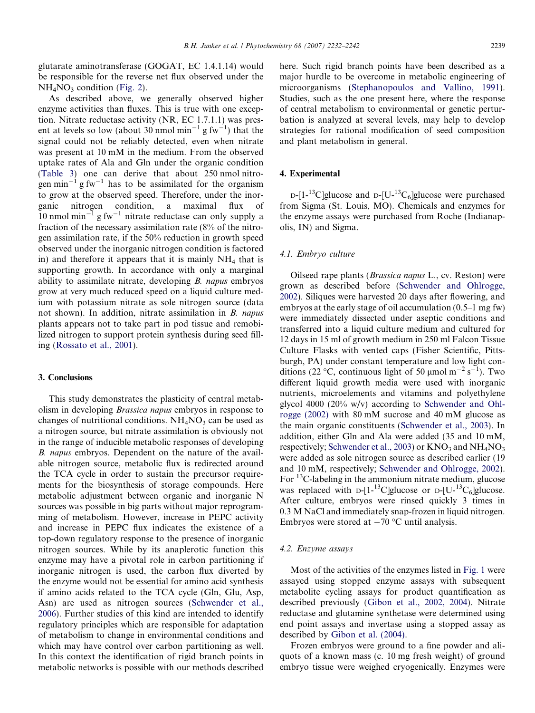<span id="page-7-0"></span>glutarate aminotransferase (GOGAT, EC 1.4.1.14) would be responsible for the reverse net flux observed under the  $NH<sub>4</sub>NO<sub>3</sub>$  condition ([Fig. 2](#page-6-0)).

As described above, we generally observed higher enzyme activities than fluxes. This is true with one exception. Nitrate reductase activity (NR, EC 1.7.1.1) was present at levels so low (about 30 nmol min<sup>-1</sup> g fw<sup>-1</sup>) that the signal could not be reliably detected, even when nitrate was present at 10 mM in the medium. From the observed uptake rates of Ala and Gln under the organic condition ([Table 3](#page-4-0)) one can derive that about 250 nmol nitrogen min<sup>-1</sup> g fw<sup>-1</sup> has to be assimilated for the organism to grow at the observed speed. Therefore, under the inorganic nitrogen condition, a maximal flux of 10 nmol min<sup>-1</sup> g fw<sup>-1</sup> nitrate reductase can only supply a fraction of the necessary assimilation rate (8% of the nitrogen assimilation rate, if the 50% reduction in growth speed observed under the inorganic nitrogen condition is factored in) and therefore it appears that it is mainly  $NH<sub>4</sub>$  that is supporting growth. In accordance with only a marginal ability to assimilate nitrate, developing B. napus embryos grow at very much reduced speed on a liquid culture medium with potassium nitrate as sole nitrogen source (data not shown). In addition, nitrate assimilation in B. napus plants appears not to take part in pod tissue and remobilized nitrogen to support protein synthesis during seed filling [\(Rossato et al., 2001\)](#page-9-0).

# 3. Conclusions

This study demonstrates the plasticity of central metabolism in developing Brassica napus embryos in response to changes of nutritional conditions.  $NH<sub>4</sub>NO<sub>3</sub>$  can be used as a nitrogen source, but nitrate assimilation is obviously not in the range of inducible metabolic responses of developing B. napus embryos. Dependent on the nature of the available nitrogen source, metabolic flux is redirected around the TCA cycle in order to sustain the precursor requirements for the biosynthesis of storage compounds. Here metabolic adjustment between organic and inorganic N sources was possible in big parts without major reprogramming of metabolism. However, increase in PEPC activity and increase in PEPC flux indicates the existence of a top-down regulatory response to the presence of inorganic nitrogen sources. While by its anaplerotic function this enzyme may have a pivotal role in carbon partitioning if inorganic nitrogen is used, the carbon flux diverted by the enzyme would not be essential for amino acid synthesis if amino acids related to the TCA cycle (Gln, Glu, Asp, Asn) are used as nitrogen sources ([Schwender et al.,](#page-10-0) [2006](#page-10-0)). Further studies of this kind are intended to identify regulatory principles which are responsible for adaptation of metabolism to change in environmental conditions and which may have control over carbon partitioning as well. In this context the identification of rigid branch points in metabolic networks is possible with our methods described here. Such rigid branch points have been described as a major hurdle to be overcome in metabolic engineering of microorganisms ([Stephanopoulos and Vallino, 1991\)](#page-10-0). Studies, such as the one present here, where the response of central metabolism to environmental or genetic perturbation is analyzed at several levels, may help to develop strategies for rational modification of seed composition and plant metabolism in general.

# 4. Experimental

 $D-[1-13C]$ glucose and  $D-[U-13C_6]$ glucose were purchased from Sigma (St. Louis, MO). Chemicals and enzymes for the enzyme assays were purchased from Roche (Indianapolis, IN) and Sigma.

## 4.1. Embryo culture

Oilseed rape plants (Brassica napus L., cv. Reston) were grown as described before ([Schwender and Ohlrogge,](#page-10-0) [2002](#page-10-0)). Siliques were harvested 20 days after flowering, and embryos at the early stage of oil accumulation (0.5–1 mg fw) were immediately dissected under aseptic conditions and transferred into a liquid culture medium and cultured for 12 days in 15 ml of growth medium in 250 ml Falcon Tissue Culture Flasks with vented caps (Fisher Scientific, Pittsburgh, PA) under constant temperature and low light conditions (22 °C, continuous light of 50 µmol m<sup>-2</sup> s<sup>-1</sup>). Two different liquid growth media were used with inorganic nutrients, microelements and vitamins and polyethylene glycol 4000 (20% w/v) according to [Schwender and Ohl](#page-10-0)[rogge \(2002\)](#page-10-0) with 80 mM sucrose and 40 mM glucose as the main organic constituents [\(Schwender et al., 2003\)](#page-10-0). In addition, either Gln and Ala were added (35 and 10 mM, respectively; [Schwender et al., 2003](#page-10-0)) or  $KNO_3$  and  $NH_4NO_3$ were added as sole nitrogen source as described earlier (19 and 10 mM, respectively; [Schwender and Ohlrogge, 2002\)](#page-10-0). For <sup>13</sup>C-labeling in the ammonium nitrate medium, glucose was replaced with  $D-[1^{-13}C]$ glucose or  $D-[U^{-13}C_6]$ glucose. After culture, embryos were rinsed quickly 3 times in 0.3 M NaCl and immediately snap-frozen in liquid nitrogen. Embryos were stored at  $-70$  °C until analysis.

#### 4.2. Enzyme assays

Most of the activities of the enzymes listed in [Fig. 1](#page-5-0) were assayed using stopped enzyme assays with subsequent metabolite cycling assays for product quantification as described previously [\(Gibon et al., 2002, 2004\)](#page-9-0). Nitrate reductase and glutamine synthetase were determined using end point assays and invertase using a stopped assay as described by [Gibon et al. \(2004\).](#page-9-0)

Frozen embryos were ground to a fine powder and aliquots of a known mass (c. 10 mg fresh weight) of ground embryo tissue were weighed cryogenically. Enzymes were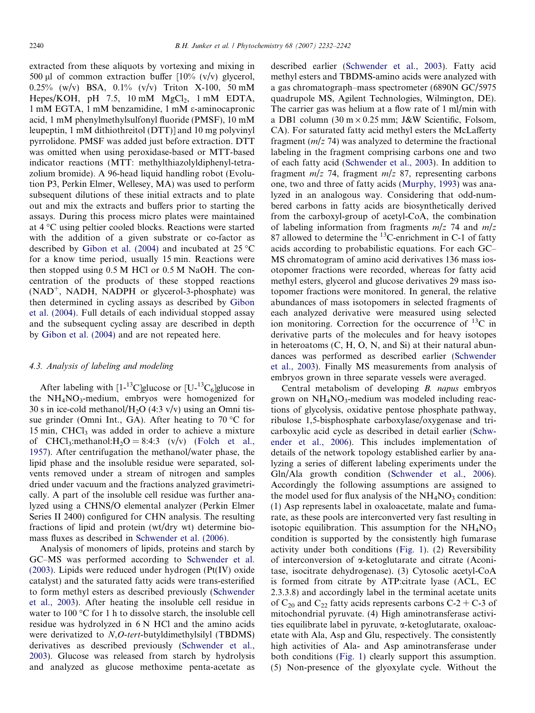<span id="page-8-0"></span>extracted from these aliquots by vortexing and mixing in 500 µl of common extraction buffer  $[10\% (v/v)]$  glycerol,  $0.25\%$  (w/y) BSA,  $0.1\%$  (v/y) Triton X-100, 50 mM Hepes/KOH, pH 7.5,  $10 \text{ mM } MgCl<sub>2</sub>$ ,  $1 \text{ mM } EDTA$ , 1 mM EGTA, 1 mM benzamidine, 1 mM e-aminocapronic acid, 1 mM phenylmethylsulfonyl fluoride (PMSF), 10 mM leupeptin, 1 mM dithiothreitol (DTT)] and 10 mg polyvinyl pyrrolidone. PMSF was added just before extraction. DTT was omitted when using peroxidase-based or MTT-based indicator reactions (MTT: methylthiazolyldiphenyl-tetrazolium bromide). A 96-head liquid handling robot (Evolution P3, Perkin Elmer, Wellesey, MA) was used to perform subsequent dilutions of these initial extracts and to plate out and mix the extracts and buffers prior to starting the assays. During this process micro plates were maintained at 4 °C using peltier cooled blocks. Reactions were started with the addition of a given substrate or co-factor as described by [Gibon et al. \(2004\)](#page-9-0) and incubated at  $25^{\circ}$ C for a know time period, usually 15 min. Reactions were then stopped using 0.5 M HCl or 0.5 M NaOH. The concentration of the products of these stopped reactions  $(NAD^+$ , NADH, NADPH or glycerol-3-phosphate) was then determined in cycling assays as described by [Gibon](#page-9-0) [et al. \(2004\)](#page-9-0). Full details of each individual stopped assay and the subsequent cycling assay are described in depth by [Gibon et al. \(2004\)](#page-9-0) and are not repeated here.

### 4.3. Analysis of labeling and modeling

After labeling with  $[1^{-13}C]$ glucose or  $[U^{-13}C_6]$ glucose in the  $NH<sub>4</sub>NO<sub>3</sub>$ -medium, embryos were homogenized for 30 s in ice-cold methanol/ $H_2O$  (4:3 v/v) using an Omni tissue grinder (Omni Int., GA). After heating to  $70^{\circ}$ C for 15 min, CHCl3 was added in order to achieve a mixture of CHCl<sub>3</sub>:methanol:H<sub>2</sub>O = 8:4:3 (v/v) ([Folch et al.,](#page-9-0) [1957\)](#page-9-0). After centrifugation the methanol/water phase, the lipid phase and the insoluble residue were separated, solvents removed under a stream of nitrogen and samples dried under vacuum and the fractions analyzed gravimetrically. A part of the insoluble cell residue was further analyzed using a CHNS/O elemental analyzer (Perkin Elmer Series II 2400) configured for CHN analysis. The resulting fractions of lipid and protein (wt/dry wt) determine biomass fluxes as described in [Schwender et al. \(2006\)](#page-10-0).

Analysis of monomers of lipids, proteins and starch by GC–MS was performed according to [Schwender et al.](#page-10-0) [\(2003\)](#page-10-0). Lipids were reduced under hydrogen (Pt(IV) oxide catalyst) and the saturated fatty acids were trans-esterified to form methyl esters as described previously ([Schwender](#page-10-0) [et al., 2003\)](#page-10-0). After heating the insoluble cell residue in water to  $100^{\circ}$ C for 1 h to dissolve starch, the insoluble cell residue was hydrolyzed in 6 N HCl and the amino acids were derivatized to *N*,*O*-tert-butyldimethylsilyl (TBDMS) derivatives as described previously ([Schwender et al.,](#page-10-0) [2003\)](#page-10-0). Glucose was released from starch by hydrolysis and analyzed as glucose methoxime penta-acetate as

described earlier [\(Schwender et al., 2003](#page-10-0)). Fatty acid methyl esters and TBDMS-amino acids were analyzed with a gas chromatograph–mass spectrometer (6890N GC/5975 quadrupole MS, Agilent Technologies, Wilmington, DE). The carrier gas was helium at a flow rate of 1 ml/min with a DB1 column  $(30 \text{ m} \times 0.25 \text{ mm})$ ; J&W Scientific, Folsom, CA). For saturated fatty acid methyl esters the McLafferty fragment  $(m/z 74)$  was analyzed to determine the fractional labeling in the fragment comprising carbons one and two of each fatty acid ([Schwender et al., 2003](#page-10-0)). In addition to fragment  $m/z$  74, fragment  $m/z$  87, representing carbons one, two and three of fatty acids ([Murphy, 1993\)](#page-9-0) was analyzed in an analogous way. Considering that odd-numbered carbons in fatty acids are biosynthetically derived from the carboxyl-group of acetyl-CoA, the combination of labeling information from fragments  $m/z$  74 and  $m/z$ 87 allowed to determine the  $^{13}$ C-enrichment in C-1 of fatty acids according to probabilistic equations. For each GC– MS chromatogram of amino acid derivatives 136 mass iosotopomer fractions were recorded, whereas for fatty acid methyl esters, glycerol and glucose derivatives 29 mass isotopomer fractions were monitored. In general, the relative abundances of mass isotopomers in selected fragments of each analyzed derivative were measured using selected ion monitoring. Correction for the occurrence of  ${}^{13}C$  in derivative parts of the molecules and for heavy isotopes in heteroatoms (C, H, O, N, and Si) at their natural abundances was performed as described earlier ([Schwender](#page-10-0) [et al., 2003](#page-10-0)). Finally MS measurements from analysis of embryos grown in three separate vessels were averaged.

Central metabolism of developing B. napus embryos grown on  $NH_4NO_3$ -medium was modeled including reactions of glycolysis, oxidative pentose phosphate pathway, ribulose 1,5-bisphosphate carboxylase/oxygenase and tricarboxylic acid cycle as described in detail earlier ([Schw](#page-10-0)[ender et al., 2006](#page-10-0)). This includes implementation of details of the network topology established earlier by analyzing a series of different labeling experiments under the Gln/Ala growth condition ([Schwender et al., 2006\)](#page-10-0). Accordingly the following assumptions are assigned to the model used for flux analysis of the  $NH<sub>4</sub>NO<sub>3</sub>$  condition: (1) Asp represents label in oxaloacetate, malate and fumarate, as these pools are interconverted very fast resulting in isotopic equilibration. This assumption for the  $NH<sub>4</sub>NO<sub>3</sub>$ condition is supported by the consistently high fumarase activity under both conditions ([Fig. 1\)](#page-5-0). (2) Reversibility of interconversion of  $\alpha$ -ketoglutarate and citrate (Aconitase, isocitrate dehydrogenase). (3) Cytosolic acetyl-CoA is formed from citrate by ATP:citrate lyase (ACL, EC 2.3.3.8) and accordingly label in the terminal acetate units of  $C_{20}$  and  $C_{22}$  fatty acids represents carbons  $C-2 + C-3$  of mitochondrial pyruvate. (4) High aminotransferase activities equilibrate label in pyruvate, a-ketoglutarate, oxaloacetate with Ala, Asp and Glu, respectively. The consistently high activities of Ala- and Asp aminotransferase under both conditions ([Fig. 1](#page-5-0)) clearly support this assumption. (5) Non-presence of the glyoxylate cycle. Without the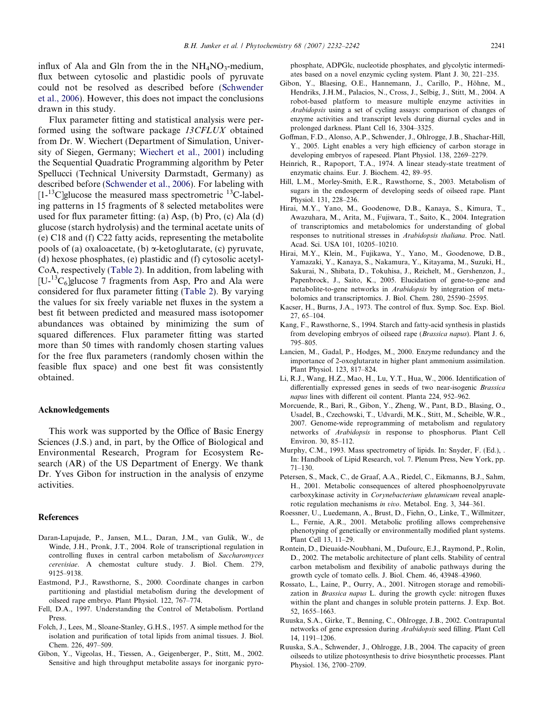<span id="page-9-0"></span>influx of Ala and Gln from the in the  $NH<sub>4</sub>NO<sub>3</sub>$ -medium, flux between cytosolic and plastidic pools of pyruvate could not be resolved as described before [\(Schwender](#page-10-0) [et al., 2006](#page-10-0)). However, this does not impact the conclusions drawn in this study.

Flux parameter fitting and statistical analysis were performed using the software package 13CFLUX obtained from Dr. W. Wiechert (Department of Simulation, University of Siegen, Germany; [Wiechert et al., 2001\)](#page-10-0) including the Sequential Quadratic Programming algorithm by Peter Spellucci (Technical University Darmstadt, Germany) as described before ([Schwender et al., 2006\)](#page-10-0). For labeling with  $[1-13]$ C]glucose the measured mass spectrometric  $[13]$ C-labeling patterns in 15 fragments of 8 selected metabolites were used for flux parameter fitting: (a) Asp, (b) Pro, (c) Ala (d) glucose (starch hydrolysis) and the terminal acetate units of (e) C18 and (f) C22 fatty acids, representing the metabolite pools of (a) oxaloacetate, (b)  $\alpha$ -ketoglutarate, (c) pyruvate, (d) hexose phosphates, (e) plastidic and (f) cytosolic acetyl-CoA, respectively [\(Table 2\)](#page-2-0). In addition, from labeling with  $[U^{-13}C_6]$ glucose 7 fragments from Asp, Pro and Ala were considered for flux parameter fitting ([Table 2](#page-2-0)). By varying the values for six freely variable net fluxes in the system a best fit between predicted and measured mass isotopomer abundances was obtained by minimizing the sum of squared differences. Flux parameter fitting was started more than 50 times with randomly chosen starting values for the free flux parameters (randomly chosen within the feasible flux space) and one best fit was consistently obtained.

#### Acknowledgements

This work was supported by the Office of Basic Energy Sciences (J.S.) and, in part, by the Office of Biological and Environmental Research, Program for Ecosystem Research (AR) of the US Department of Energy. We thank Dr. Yves Gibon for instruction in the analysis of enzyme activities.

#### References

- Daran-Lapujade, P., Jansen, M.L., Daran, J.M., van Gulik, W., de Winde, J.H., Pronk, J.T., 2004. Role of transcriptional regulation in controlling fluxes in central carbon metabolism of Saccharomyces cerevisiae. A chemostat culture study. J. Biol. Chem. 279, 9125–9138.
- Eastmond, P.J., Rawsthorne, S., 2000. Coordinate changes in carbon partitioning and plastidial metabolism during the development of oilseed rape embryo. Plant Physiol. 122, 767–774.
- Fell, D.A., 1997. Understanding the Control of Metabolism. Portland Press.
- Folch, J., Lees, M., Sloane-Stanley, G.H.S., 1957. A simple method for the isolation and purification of total lipids from animal tissues. J. Biol. Chem. 226, 497–509.
- Gibon, Y., Vigeolas, H., Tiessen, A., Geigenberger, P., Stitt, M., 2002. Sensitive and high throughput metabolite assays for inorganic pyro-

phosphate, ADPGlc, nucleotide phosphates, and glycolytic intermediates based on a novel enzymic cycling system. Plant J. 30, 221–235.

- Gibon, Y., Blaesing, O.E., Hannemann, J., Carillo, P., Höhne, M., Hendriks, J.H.M., Palacios, N., Cross, J., Selbig, J., Stitt, M., 2004. A robot-based platform to measure multiple enzyme activities in Arabidopsis using a set of cycling assays: comparison of changes of enzyme activities and transcript levels during diurnal cycles and in prolonged darkness. Plant Cell 16, 3304–3325.
- Goffman, F.D., Alonso, A.P., Schwender, J., Ohlrogge, J.B., Shachar-Hill, Y., 2005. Light enables a very high efficiency of carbon storage in developing embryos of rapeseed. Plant Physiol. 138, 2269–2279.
- Heinrich, R., Rapoport, T.A., 1974. A linear steady-state treatment of enzymatic chains. Eur. J. Biochem. 42, 89–95.
- Hill, L.M., Morley-Smith, E.R., Rawsthorne, S., 2003. Metabolism of sugars in the endosperm of developing seeds of oilseed rape. Plant Physiol. 131, 228–236.
- Hirai, M.Y., Yano, M., Goodenowe, D.B., Kanaya, S., Kimura, T., Awazuhara, M., Arita, M., Fujiwara, T., Saito, K., 2004. Integration of transcriptomics and metabolomics for understanding of global responses to nutritional stresses in Arabidopsis thaliana. Proc. Natl. Acad. Sci. USA 101, 10205–10210.
- Hirai, M.Y., Klein, M., Fujikawa, Y., Yano, M., Goodenowe, D.B., Yamazaki, Y., Kanaya, S., Nakamura, Y., Kitayama, M., Suzuki, H., Sakurai, N., Shibata, D., Tokuhisa, J., Reichelt, M., Gershenzon, J., Papenbrock, J., Saito, K., 2005. Elucidation of gene-to-gene and metabolite-to-gene networks in Arabidopsis by integration of metabolomics and transcriptomics. J. Biol. Chem. 280, 25590–25595.
- Kacser, H., Burns, J.A., 1973. The control of flux. Symp. Soc. Exp. Biol. 27, 65–104.
- Kang, F., Rawsthorne, S., 1994. Starch and fatty-acid synthesis in plastids from developing embryos of oilseed rape (Brassica napus). Plant J. 6, 795–805.
- Lancien, M., Gadal, P., Hodges, M., 2000. Enzyme redundancy and the importance of 2-oxoglutarate in higher plant ammonium assimilation. Plant Physiol. 123, 817–824.
- Li, R.J., Wang, H.Z., Mao, H., Lu, Y.T., Hua, W., 2006. Identification of differentially expressed genes in seeds of two near-isogenic Brassica napus lines with different oil content. Planta 224, 952–962.
- Morcuende, R., Bari, R., Gibon, Y., Zheng, W., Pant, B.D., Blasing, O., Usadel, B., Czechowski, T., Udvardi, M.K., Stitt, M., Scheible, W.R., 2007. Genome-wide reprogramming of metabolism and regulatory networks of Arabidopsis in response to phosphorus. Plant Cell Environ. 30, 85–112.
- Murphy, C.M., 1993. Mass spectrometry of lipids. In: Snyder, F. (Ed.), . In: Handbook of Lipid Research, vol. 7. Plenum Press, New York, pp. 71–130.
- Petersen, S., Mack, C., de Graaf, A.A., Riedel, C., Eikmanns, B.J., Sahm, H., 2001. Metabolic consequences of altered phosphoenolpyruvate carboxykinase activity in Corynebacterium glutamicum reveal anaplerotic regulation mechanisms in vivo. Metabol. Eng. 3, 344–361.
- Roessner, U., Luedemann, A., Brust, D., Fiehn, O., Linke, T., Willmitzer, L., Fernie, A.R., 2001. Metabolic profiling allows comprehensive phenotyping of genetically or environmentally modified plant systems. Plant Cell 13, 11–29.
- Rontein, D., Dieuaide-Noubhani, M., Dufourc, E.J., Raymond, P., Rolin, D., 2002. The metabolic architecture of plant cells. Stability of central carbon metabolism and flexibility of anabolic pathways during the growth cycle of tomato cells. J. Biol. Chem. 46, 43948–43960.
- Rossato, L., Laine, P., Ourry, A., 2001. Nitrogen storage and remobilization in Brassica napus L. during the growth cycle: nitrogen fluxes within the plant and changes in soluble protein patterns. J. Exp. Bot. 52, 1655–1663.
- Ruuska, S.A., Girke, T., Benning, C., Ohlrogge, J.B., 2002. Contrapuntal networks of gene expression during Arabidopsis seed filling. Plant Cell 14, 1191–1206.
- Ruuska, S.A., Schwender, J., Ohlrogge, J.B., 2004. The capacity of green oilseeds to utilize photosynthesis to drive biosynthetic processes. Plant Physiol. 136, 2700–2709.